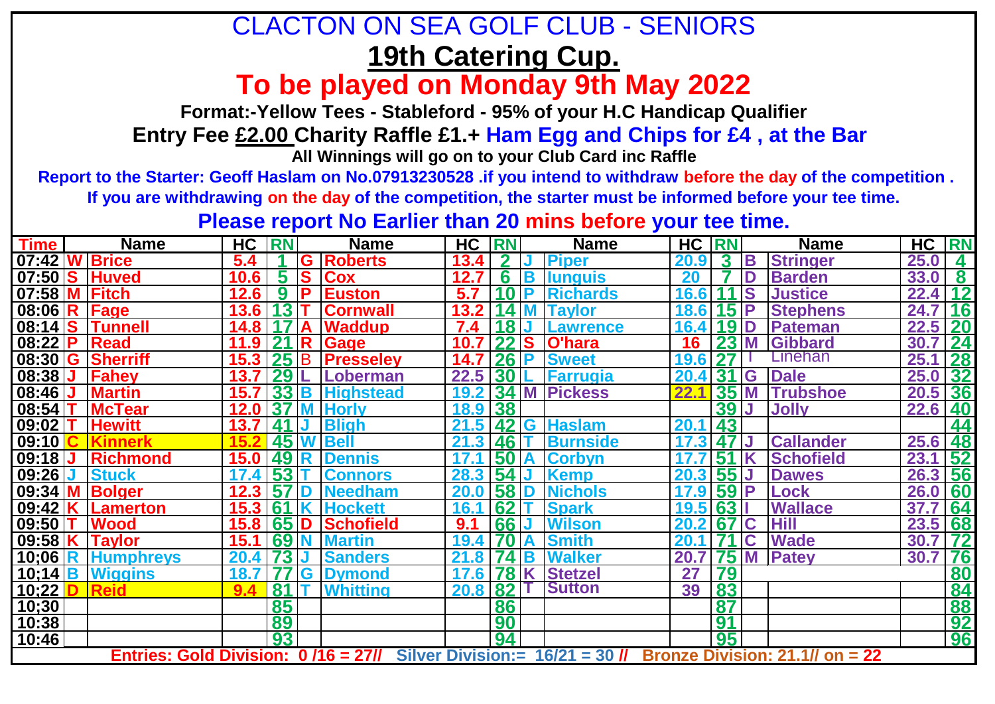## **19th Catering Cup.** CLACTON ON SEA GOLF CLUB - SENIORS

**To be played on Monday 9th May 2022** 

**Format:-Yellow Tees - Stableford - 95% of your H.C Handicap Qualifier**

 **Entry Fee £2.00 Charity Raffle £1.+ Ham Egg and Chips for £4 , at the Bar**

**All Winnings will go on to your Club Card inc Raffle**

 **Report to the Starter: Geoff Haslam on No.07913230528 .if you intend to withdraw before the day of the competition .** 

**If you are withdrawing on the day of the competition, the starter must be informed before your tee time.** 

**Please report No Earlier than 20 mins before your tee time.** 

| <b>Time</b>      | <b>Name</b>                         | <b>HC</b> | <b>RN</b>   |                         | <b>Name</b>      | HC RN             |            |    | <b>Name</b>                                                       | <b>HC RN</b> |                 |             | <b>Name</b>      | HC RN |           |
|------------------|-------------------------------------|-----------|-------------|-------------------------|------------------|-------------------|------------|----|-------------------------------------------------------------------|--------------|-----------------|-------------|------------------|-------|-----------|
| 07:42            | <b>W</b> Brice                      | 5.4       |             | G                       | <b>Roberts</b>   | 13.4              |            |    | <b>Piper</b>                                                      | 20.9         | $\mathbf{3}$    | B           | <b>Stringer</b>  | 25.0  | 4         |
| 07:50 S          | <b>Huved</b>                        | 10.6      | 5.          | S                       | Cox              | 12.7              | 6          | B  | <b>Ilunguis</b>                                                   | 20           |                 | D           | <b>Barden</b>    | 33.0  | $\bf{8}$  |
| $07:58$ M        | <b>Fitch</b>                        | 12.6      | 9           | <b>P</b>                | <b>Euston</b>    | 5.7               | 10P        |    | <b>Richards</b>                                                   | 16.6         |                 | S           | <b>Justice</b>   | 22.4  | 12        |
| $08:06$ R        | Fage                                | 13.6      | 13          |                         | <b>Cornwall</b>  | 13.2              |            | 4M | <b>Tavlor</b>                                                     | 18.6         | 15 <sup>1</sup> | <b>IP</b>   | <b>Stephens</b>  | 24.7  | 16        |
| $08:14$ S        | <b>Tunnell</b>                      | 14.8      |             |                         | <b>Waddup</b>    | 7.4               | <b>18J</b> |    | <b>Lawrence</b>                                                   | 16.4         | <b>19D</b>      |             | Pateman          | 22.5  | <b>20</b> |
| $08:22$ P        | Read                                | 11.9      | 21          | $\overline{\mathsf{R}}$ | <b>Gage</b>      | 10.7              | 22S        |    | O'hara                                                            | 16           | 23              | M           | Gibbard          | 30.7  | 24        |
|                  | 08:30 G Sherriff                    | 15.3      | 25B         |                         | <b>Presseley</b> | 14.7              | $26$ P     |    | <b>Sweet</b>                                                      | 19.6         |                 |             | Linehan          | 25.1  | <b>28</b> |
| 08:38            | Fahey                               | 13.       | 29          |                         | Loberman         | 22.5              | 30         |    | <b>Farrugia</b>                                                   | 20.4         | 31              | G           | <b>Dale</b>      | 25.0  | 32        |
| 08:46            | <b>Martin</b>                       | 15.7      | 33 B        |                         | <b>Highstead</b> | 19.2 <sub>1</sub> |            |    | 34 M Pickess                                                      | 22.1         | 35              | M           | <b>Trubshoe</b>  | 20.5  | 36        |
| 08:54            | <b>McTear</b>                       | 12.0      | <b>37 M</b> |                         | <b>Horly</b>     | 18.9              | 38         |    |                                                                   |              | 39              | IJ          | <b>Jolly</b>     | 22.6  | 40        |
| 09:02            | <b>Hewitt</b>                       | 13.7      | $41$ J      |                         | <b>Bligh</b>     | 21.5              |            |    | 42 G Haslam                                                       | 20.1         | 43              |             |                  |       | 44        |
| 09:10            | <b>Kinnerk</b>                      |           |             |                         | 45 W Bell        | 21.3              | 46         |    | <b>Burnside</b>                                                   | 17.3         | 47              |             | <b>Callander</b> | 25.6  | 48        |
| 09:18            | <b>Richmond</b>                     | 15.0      | 49 R        |                         | <b>Dennis</b>    |                   | 50A        |    | <b>Corbyn</b>                                                     |              | 51              |             | <b>Schofield</b> | 23.1  | 52        |
| 09:26            | <b>Stuck</b>                        | 17.4      | 53          |                         | <b>Connors</b>   | 28.3              | 54         |    | <b>Kemp</b>                                                       | 20.3         | 55              |             | <b>Dawes</b>     | 26.3  | 56        |
| 09:34            | <b>Bolger</b>                       | 12.3      | <b>57</b>   | ΊD                      | <b>Needham</b>   | 20.               | 58 D       |    | <b>Nichols</b>                                                    | 17.9         | $59$ P          |             | Lock             | 26.0  | 60        |
| 09:42            | <b>ILamerton</b>                    | 15.3      | 61          |                         | <b>Hockett</b>   | 16.               | 62         |    | <b>Spark</b>                                                      | 19.5 63      |                 |             | <b>Wallace</b>   | 37.7  | 64        |
| 09:50            | <b>Wood</b>                         | 15.8      | 65D         |                         | Schofield        | 9.1               | <b>66</b>  |    | <b>Wilson</b>                                                     | 20.2         | 67              | $\mathbf C$ | <b>Hill</b>      | 23.5  | 68        |
| 09:58 $K$        | <b>Taylor</b>                       | 15.1      | <b>69N</b>  |                         | <b>Martin</b>    | 19.4              |            |    | <b>Smith</b>                                                      | 20.          |                 | $\mathbf C$ | <b>Wade</b>      | 30.7  | 72        |
| $10;06$ R        | <b>Humphreys</b>                    | 20.4      | 73 IJ       |                         | <b>Sanders</b>   | 21.8              | 74 B       |    | <b>Walker</b>                                                     | 20.7         | 75              | M           | <b>Patey</b>     | 30.7  | 76        |
| $10;14$ <b>B</b> | <b>Wiggins</b>                      | 18.7      |             | G                       | <b>Dymond</b>    | 17.6              | 78 K       |    | <b>Stetzel</b>                                                    | 27           | 79              |             |                  |       | 80        |
| 10;22            | <b>Reid</b>                         |           | 81          |                         | <b>Whitting</b>  | 20.8              | 82         |    | <b>Sutton</b>                                                     | 39           | 83              |             |                  |       | 84        |
| 10;30            |                                     |           | 85          |                         |                  |                   | 86         |    |                                                                   |              | 87              |             |                  |       | 88        |
| 10:38            |                                     |           | 89          |                         |                  |                   | 90         |    |                                                                   |              | 91              |             |                  |       | 92        |
| 10:46            |                                     |           | 93          |                         |                  |                   | 94         |    |                                                                   |              | 95              |             |                  |       | 96        |
|                  | Entries: Gold Division: 0/16 = 27// |           |             |                         |                  |                   |            |    | Silver Division:= $16/21 = 30$ // Bronze Division: 21.1// on = 22 |              |                 |             |                  |       |           |